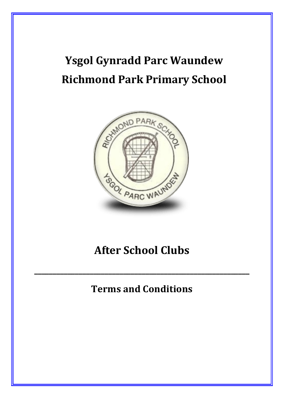# **Ysgol Gynradd Parc Waundew Richmond Park Primary School**



## **After School Clubs**

### **Terms and Conditions**

**\_\_\_\_\_\_\_\_\_\_\_\_\_\_\_\_\_\_\_\_\_\_\_\_\_\_\_\_\_\_\_\_\_\_\_\_\_\_\_\_\_\_\_\_\_\_\_\_\_\_\_\_\_\_\_\_\_\_**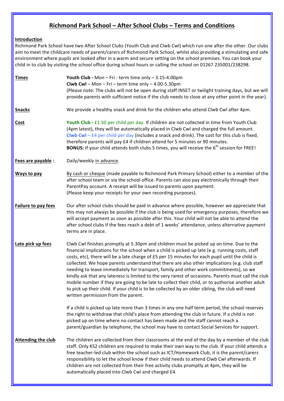### **Richmond Park School – After School Clubs – Terms and Conditions**

#### **Introduction**

Richmond Park School have two After School Clubs (Youth Club and Clwb Cwl) which run one after the other. Our clubs aim to meet the childcare needs of parent/carers of Richmond Park School, whilst also providing a stimulating and safe environment where pupils are looked after in a warm and secure setting on the school premises. You can book your child in to club by visiting the school office during school hours or calling the school on 01267 235001/238298.

| <b>Times</b>              | Youth Club - Mon - Fri - term time only $-3.15-4.00$ pm<br>Clwb Cwl - Mon - Fri - term time only - 4.00-5.30pm<br>(Please note: The clubs will not be open during staff INSET or twilight training days, but we will<br>provide parents with sufficient notice if the club needs to close at any other point in the year).                                                                                                                                                                                                                                                                                                                                                                                                                                                                                                                    |
|---------------------------|-----------------------------------------------------------------------------------------------------------------------------------------------------------------------------------------------------------------------------------------------------------------------------------------------------------------------------------------------------------------------------------------------------------------------------------------------------------------------------------------------------------------------------------------------------------------------------------------------------------------------------------------------------------------------------------------------------------------------------------------------------------------------------------------------------------------------------------------------|
| <b>Snacks</b>             | We provide a healthy snack and drink for the children who attend Clwb Cwl after 4pm.                                                                                                                                                                                                                                                                                                                                                                                                                                                                                                                                                                                                                                                                                                                                                          |
| Cost                      | Youth Club - £1.50 per child per day. If children are not collected in time from Youth Club<br>(4pm latest), they will be automatically placed in Clwb Cwl and charged the full amount.<br>Clwb Cwl $-$ £4 per child per day (includes a snack and drink). The cost for this club is fixed,<br>therefore parents will pay £4 if children attend for 5 minutes or 90 minutes.<br><b>BONUS:</b> If your child attends both clubs 5 times, you will receive the $6th$ session for FREE!                                                                                                                                                                                                                                                                                                                                                          |
| Fees are payable :        | Daily/weekly in advance.                                                                                                                                                                                                                                                                                                                                                                                                                                                                                                                                                                                                                                                                                                                                                                                                                      |
| <b>Ways to pay</b>        | By cash or cheque (made payable to Richmond Park Primary School) either to a member of the<br>after school team or via the school office. Parents can also pay electronically through their<br>ParentPay account. A receipt will be issued to parents upon payment.<br>(Please keep your receipts for your own recording purposes).                                                                                                                                                                                                                                                                                                                                                                                                                                                                                                           |
| Failure to pay fees       | Our after school clubs should be paid in advance where possible, however we appreciate that<br>this may not always be possible if the club is being used for emergency purposes, therefore we<br>will accept payment as soon as possible after this. Your child will not be able to attend the<br>after school clubs if the fees reach a debt of 1 weeks' attendance, unless alternative payment<br>terms are in place.                                                                                                                                                                                                                                                                                                                                                                                                                       |
| Late pick up fees         | Clwb Cwl finishes promptly at 5.30pm and children must be picked up on time. Due to the<br>financial implications for the school when a child is picked up late (e.g. running costs, staff<br>costs, etc), there will be a late charge of £5 per 15 minutes for each pupil until the child is<br>collected. We hope parents understand that there are also other implications (e.g. club staff<br>needing to leave immediately for transport, family and other work commitments), so we<br>kindly ask that any lateness is limited to the very rarest of occasions. Parents must call the club<br>mobile number if they are going to be late to collect their child, or to authorise another adult<br>to pick up their child. If your child is to be collected by an older sibling, the club will need<br>written permission from the parent. |
|                           | If a child is picked up late more than 3 times in any one half term period, the school reserves<br>the right to withdraw that child's place from attending the club in future. If a child is not<br>picked up on time where no contact has been made and the staff cannot reach a<br>parent/guardian by telephone, the school may have to contact Social Services for support.                                                                                                                                                                                                                                                                                                                                                                                                                                                                |
| <b>Attending the club</b> | The children are collected from their classrooms at the end of the day by a member of the club<br>staff. Only KS2 children are required to make their own way to the club. If your child attends a<br>free teacher-led club within the school such as ICT/Homework Club, it is the parent/carers<br>responsibility to let the school know if their child needs to attend Clwb Cwl afterwards. If<br>children are not collected from their free activity clubs promptly at 4pm, they will be<br>automatically placed into Clwb Cwl and charged £4.                                                                                                                                                                                                                                                                                             |